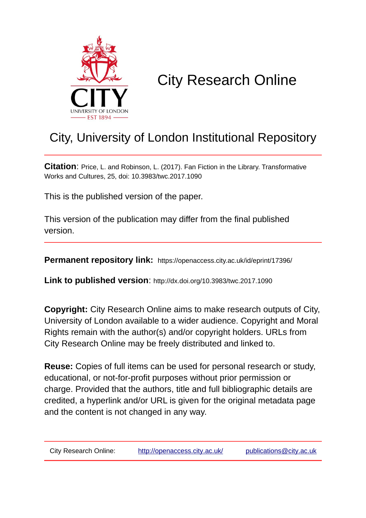

# City Research Online

# City, University of London Institutional Repository

**Citation**: Price, L. and Robinson, L. (2017). Fan Fiction in the Library. Transformative Works and Cultures, 25, doi: 10.3983/twc.2017.1090

This is the published version of the paper.

This version of the publication may differ from the final published version.

**Permanent repository link:** https://openaccess.city.ac.uk/id/eprint/17396/

**Link to published version**: http://dx.doi.org/10.3983/twc.2017.1090

**Copyright:** City Research Online aims to make research outputs of City, University of London available to a wider audience. Copyright and Moral Rights remain with the author(s) and/or copyright holders. URLs from City Research Online may be freely distributed and linked to.

**Reuse:** Copies of full items can be used for personal research or study, educational, or not-for-profit purposes without prior permission or charge. Provided that the authors, title and full bibliographic details are credited, a hyperlink and/or URL is given for the original metadata page and the content is not changed in any way.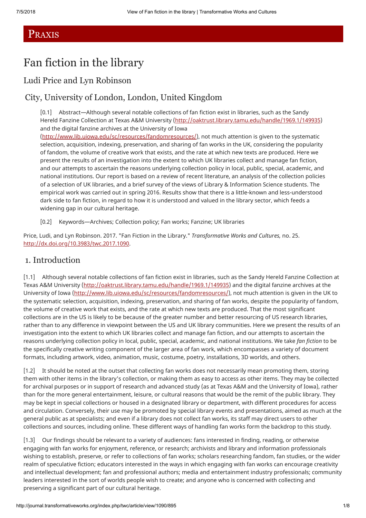# PRAXIS

# Fan fiction in the library

## Ludi Price and Lyn Robinson

## City, University of London, London, United Kingdom

[0.1] Abstract—Although several notable collections of fan fiction exist in libraries, such as the Sandy Hereld Fanzine Collection at Texas A&M University (<http://oaktrust.library.tamu.edu/handle/1969.1/149935>) and the digital fanzine archives at the University of Iowa

(<http://www.lib.uiowa.edu/sc/resources/fandomresources/>), not much attention is given to the systematic selection, acquisition, indexing, preservation, and sharing of fan works in the UK, considering the popularity of fandom, the volume of creative work that exists, and the rate at which new texts are produced. Here we present the results of an investigation into the extent to which UK libraries collect and manage fan fiction, and our attempts to ascertain the reasons underlying collection policy in local, public, special, academic, and national institutions. Our report is based on a review of recent literature, an analysis of the collection policies of a selection of UK libraries, and a brief survey of the views of Library & Information Science students. The empirical work was carried out in spring 2016. Results show that there is a little-known and less-understood dark side to fan fiction, in regard to how it is understood and valued in the library sector, which feeds a widening gap in our cultural heritage.

[0.2] Keywords—Archives; Collection policy; Fan works; Fanzine; UK libraries

Price, Ludi, and Lyn Robinson. 2017. "Fan Fiction in the Library." *Transformative Works and Cultures,* no. 25. [http://dx.doi.org/10.3983/twc.2017.1090.](http://dx.doi.org/10.3983/twc.2017.1090)

### 1. Introduction

[1.1] Although several notable collections of fan fiction exist in libraries, such as the Sandy Hereld Fanzine Collection at Texas A&M University (<http://oaktrust.library.tamu.edu/handle/1969.1/149935>) and the digital fanzine archives at the University of Iowa (<http://www.lib.uiowa.edu/sc/resources/fandomresources/>), not much attention is given in the UK to the systematic selection, acquisition, indexing, preservation, and sharing of fan works, despite the popularity of fandom, the volume of creative work that exists, and the rate at which new texts are produced. That the most significant collections are in the US is likely to be because of the greater number and better resourcing of US research libraries, rather than to any difference in viewpoint between the US and UK library communities. Here we present the results of an investigation into the extent to which UK libraries collect and manage fan fiction, and our attempts to ascertain the reasons underlying collection policy in local, public, special, academic, and national institutions. We take *fan fiction* to be the specifically creative writing component of the larger area of fan work, which encompasses a variety of document formats, including artwork, video, animation, music, costume, poetry, installations, 3D worlds, and others.

[1.2] It should be noted at the outset that collecting fan works does not necessarily mean promoting them, storing them with other items in the library's collection, or making them as easy to access as other items. They may be collected for archival purposes or in support of research and advanced study (as at Texas A&M and the University of Iowa), rather than for the more general entertainment, leisure, or cultural reasons that would be the remit of the public library. They may be kept in special collections or housed in a designated library or department, with different procedures for access and circulation. Conversely, their use may be promoted by special library events and presentations, aimed as much at the general public as at specialists; and even if a library does not collect fan works, its staff may direct users to other collections and sources, including online. These different ways of handling fan works form the backdrop to this study.

[1.3] Our findings should be relevant to a variety of audiences: fans interested in finding, reading, or otherwise engaging with fan works for enjoyment, reference, or research; archivists and library and information professionals wishing to establish, preserve, or refer to collections of fan works; scholars researching fandom, fan studies, or the wider realm of speculative fiction; educators interested in the ways in which engaging with fan works can encourage creativity and intellectual development; fan and professional authors; media and entertainment industry professionals; community leaders interested in the sort of worlds people wish to create; and anyone who is concerned with collecting and preserving a significant part of our cultural heritage.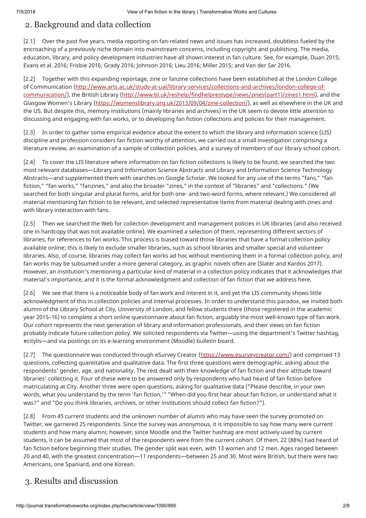# 2. Background and data collection

[2.1] Over the past five years, media reporting on fan-related news and issues has increased, doubtless fueled by the encroaching of a previously niche domain into mainstream concerns, including copyright and publishing. The media, education, library, and policy development industries have all shown interest in fan culture. See, for example, Duan 2015; Evans et al. 2016; Frisbie 2016; Grady 2016; Johnson 2016; Lieu 2016; Miller 2015; and Van der Sar 2016.

[2.2] Together with this expanding reportage, zine or fanzine collections have been established at the London College of Communication (http://www.arts.ac.uk/study-at-ual/library-services/collections-and-archives/london-college-of[communication/\), the British Library \(http://www.bl.uk/reshelp/findhelprestype/news/zines\(part1\)/zines1.html\), an](http://www.arts.ac.uk/study-at-ual/library-services/collections-and-archives/london-college-of-communication/)d the Glasgow Women's Library [\(https://womenslibrary.org.uk/2013/09/04/zine-collection/\)](https://womenslibrary.org.uk/2013/09/04/zine-collection/), as well as elsewhere in the UK and the US. But despite this, memory institutions (mainly libraries and archives) in the UK seem to devote little attention to discussing and engaging with fan works, or to developing fan fiction collections and policies for their management.

[2.3] In order to gather some empirical evidence about the extent to which the library and information science (LIS) discipline and profession considers fan fiction worthy of attention, we carried out a small investigation comprising a literature review, an examination of a sample of collection policies, and a survey of members of our library school cohort.

[2.4] To cover the LIS literature where information on fan fiction collections is likely to be found, we searched the two most relevant databases—Library and Information Science Abstracts and Library and Information Science Technology Abstracts—and supplemented them with searches on Google Scholar. We looked for any use of the terms "fans," "fan fiction," "fan works," "fanzines," and also the broader "zines," in the context of "libraries" and "collections." (We searched for both singular and plural forms, and for both one- and two-word forms, where relevant.) We considered all material mentioning fan fiction to be relevant, and selected representative items from material dealing with zines and with library interaction with fans.

[2.5] Then we searched the Web for collection development and management policies in UK libraries (and also received one in hardcopy that was not available online). We examined a selection of them, representing different sectors of libraries, for references to fan works. This process is biased toward those libraries that have a formal collection policy available online; this is likely to exclude smaller libraries, such as school libraries and smaller special and volunteer libraries. Also, of course, libraries may collect fan works ad hoc without mentioning them in a formal collection policy, and fan works may be subsumed under a more general category, as graphic novels often are (Slater and Kardos 2017). However, an institution's mentioning a particular kind of material in a collection policy indicates that it acknowledges that material's importance, and it is the formal acknowledgment and collection of fan fiction that we address here.

[2.6] We see that there is a noticeable body of fan work and interest in it, and yet the LIS community shows little acknowledgment of this in collection policies and internal processes. In order to understand this paradox, we invited both alumni of the Library School at City, University of London, and fellow students there (those registered in the academic year 2015–16) to complete a short online questionnaire about fan fiction, arguably the most well-known type of fan work. Our cohort represents the next generation of library and information professionals, and their views on fan fiction probably indicate future collection policy. We solicited respondents via Twitter—using the department's Twitter hashtag, #citylis—and via postings on its e-learning environment (Moodle) bulletin board.

[2.7] The questionnaire was conducted through eSurvey Creator (<https://www.esurveycreator.com/>) and comprised 13 questions, collecting quantitative and qualitative data. The first three questions were demographic, asking about the respondents' gender, age, and nationality. The rest dealt with their knowledge of fan fiction and their attitude toward libraries' collecting it. Four of these were to be answered only by respondents who had heard of fan fiction before matriculating at City. Another three were open questions, asking for qualitative data ("Please describe, in your own words, what you understand by the term 'fan fiction,'" "When did you first hear about fan fiction, or understand what it was?" and "Do you think libraries, archives, or other institutions should collect fan fiction?").

[2.8] From 45 current students and the unknown number of alumni who may have seen the survey promoted on Twitter, we garnered 25 respondents. Since the survey was anonymous, it is impossible to say how many were current students and how many alumni; however, since Moodle and the Twitter hashtag are most actively used by current students, it can be assumed that most of the respondents were from the current cohort. Of them, 22 (88%) had heard of fan fiction before beginning their studies. The gender split was even, with 13 women and 12 men. Ages ranged between 20 and 40, with the greatest concentration—11 respondents—between 25 and 30. Most were British, but there were two Americans, one Spaniard, and one Korean.

# 3. Results and discussion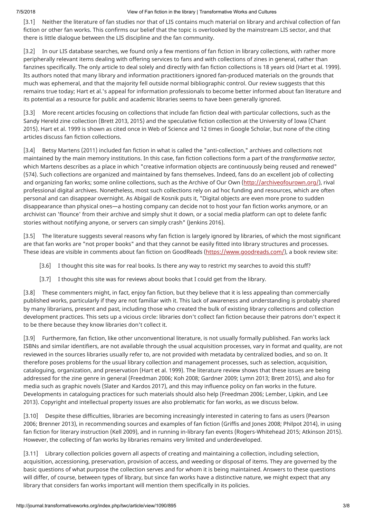[3.1] Neither the literature of fan studies nor that of LIS contains much material on library and archival collection of fan fiction or other fan works. This confirms our belief that the topic is overlooked by the mainstream LIS sector, and that there is little dialogue between the LIS discipline and the fan community.

[3.2] In our LIS database searches, we found only a few mentions of fan fiction in library collections, with rather more peripherally relevant items dealing with offering services to fans and with collections of zines in general, rather than fanzines specifically. The only article to deal solely and directly with fan fiction collections is 18 years old (Hart et al. 1999). Its authors noted that many library and information practitioners ignored fan-produced materials on the grounds that much was ephemeral, and that the majority fell outside normal bibliographic control. Our review suggests that this remains true today; Hart et al.'s appeal for information professionals to become better informed about fan literature and its potential as a resource for public and academic libraries seems to have been generally ignored.

[3.3] More recent articles focusing on collections that include fan fiction deal with particular collections, such as the Sandy Hereld zine collection (Brett 2013, 2015) and the speculative fiction collection at the University of Iowa (Chant 2015). Hart et al. 1999 is shown as cited once in Web of Science and 12 times in Google Scholar, but none of the citing articles discuss fan fiction collections.

[3.4] Betsy Martens (2011) included fan fiction in what is called the "anti-collection," archives and collections not maintained by the main memory institutions. In this case, fan fiction collections form a part of the *transformative sector,* which Martens describes as a place in which "creative information objects are continuously being reused and renewed" (574). Such collections are organized and maintained by fans themselves. Indeed, fans do an excellent job of collecting and organizing fan works; some online collections, such as the Archive of Our Own [\(http://archiveofourown.org/](http://archiveofourown.org/)), rival professional digital archives. Nonetheless, most such collections rely on ad hoc funding and resources, which are often personal and can disappear overnight. As Abigail de Kosnik puts it, "Digital objects are even more prone to sudden disappearance than physical ones—a hosting company can decide not to host your fan fiction works anymore, or an archivist can 'flounce' from their archive and simply shut it down, or a social media platform can opt to delete fanfic stories without notifying anyone, or servers can simply crash" (Jenkins 2016).

[3.5] The literature suggests several reasons why fan fiction is largely ignored by libraries, of which the most significant are that fan works are "not proper books" and that they cannot be easily fitted into library structures and processes. These ideas are visible in comments about fan fiction on GoodReads (<https://www.goodreads.com/>), a book review site:

- [3.6] I thought this site was for real books. Is there any way to restrict my searches to avoid this stuff?
- [3.7] I thought this site was for reviews about books that I could get from the library.

[3.8] These commenters might, in fact, enjoy fan fiction, but they believe that it is less appealing than commercially published works, particularly if they are not familiar with it. This lack of awareness and understanding is probably shared by many librarians, present and past, including those who created the bulk of existing library collections and collection development practices. This sets up a vicious circle: libraries don't collect fan fiction because their patrons don't expect it to be there because they know libraries don't collect it.

[3.9] Furthermore, fan fiction, like other unconventional literature, is not usually formally published. Fan works lack ISBNs and similar identifiers, are not available through the usual acquisition processes, vary in format and quality, are not reviewed in the sources libraries usually refer to, are not provided with metadata by centralized bodies, and so on. It therefore poses problems for the usual library collection and management processes, such as selection, acquisition, cataloguing, organization, and preservation (Hart et al. 1999). The literature review shows that these issues are being addressed for the zine genre in general (Freedman 2006; Koh 2008; Gardner 2009; Lymn 2013; Brett 2015), and also for media such as graphic novels (Slater and Kardos 2017), and this may influence policy on fan works in the future. Developments in cataloguing practices for such materials should also help (Freedman 2006; Lember, Lipkin, and Lee 2013). Copyright and intellectual property issues are also problematic for fan works, as we discuss below.

[3.10] Despite these difficulties, libraries are becoming increasingly interested in catering to fans as users (Pearson 2006; Brenner 2013), in recommending sources and examples of fan fiction (Griffis and Jones 2008; Philpot 2014), in using fan fiction for literary instruction (Kell 2009), and in running in-library fan events (Rogers-Whitehead 2015; Atkinson 2015). However, the collecting of fan works by libraries remains very limited and underdeveloped.

[3.11] Library collection policies govern all aspects of creating and maintaining a collection, including selection, acquisition, accessioning, preservation, provision of access, and weeding or disposal of items. They are governed by the basic questions of what purpose the collection serves and for whom it is being maintained. Answers to these questions will differ, of course, between types of library, but since fan works have a distinctive nature, we might expect that any library that considers fan works important will mention them specifically in its policies.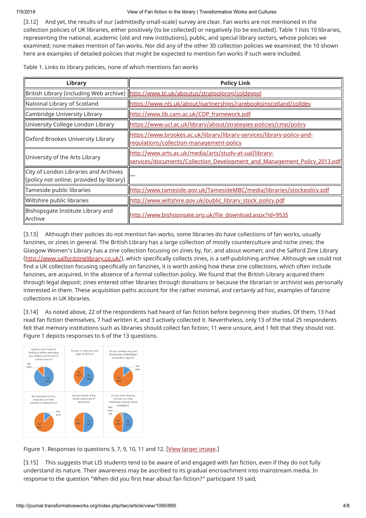[3.12] And yet, the results of our (admittedly small-scale) survey are clear. Fan works are not mentioned in the collection policies of UK libraries, either positively (to be collected) or negatively (to be excluded). Table 1 lists 10 libraries, representing the national, academic (old and new institutions), public, and special library sectors, whose policies we examined; none makes mention of fan works. Nor did any of the other 30 collection policies we examined; the 10 shown here are examples of detailed policies that might be expected to mention fan works if such were included.

Table 1. Links to library policies, none of which mentions fan works

| Library                                                                           | <b>Policy Link</b>                                                                                                                 |
|-----------------------------------------------------------------------------------|------------------------------------------------------------------------------------------------------------------------------------|
|                                                                                   | British Library (including Web archive) http://www.bl.uk/aboutus/stratpolprog/coldevpol                                            |
| National Library of Scotland                                                      | https://www.nls.uk/about/partnerships/rarebooksinscotland/colldev                                                                  |
| Cambridge University Library                                                      | http://www.lib.cam.ac.uk/CDP_framework.pdf                                                                                         |
| University College London Library                                                 | https://www.ucl.ac.uk/library/about/strategies-policies/cmp/policy                                                                 |
| Oxford Brookes University Library                                                 | https://www.brookes.ac.uk/library/library-services/library-policy-and-<br>regulations/collection-management-policy                 |
| University of the Arts Library                                                    | http://www.arts.ac.uk/media/arts/study-at-ual/library-<br>services/documents/Collection Development and Management Policy 2013.pdf |
| City of London Libraries and Archives<br>(policy not online; provided by library) |                                                                                                                                    |
| Tameside public libraries                                                         | http://www.tameside.gov.uk/TamesideMBC/media/libraries/stockpolicy.pdf                                                             |
| Wiltshire public libraries                                                        | http://www.wiltshire.gov.uk/public_library_stock_policy.pdf                                                                        |
| Bishopsgate Institute Library and<br>llArchive                                    | http://www.bishopsgate.org.uk/file_download.aspx?id=9535                                                                           |

[3.13] Although their policies do not mention fan works, some libraries do have collections of fan works, usually fanzines, or zines in general. The British Library has a large collection of mostly counterculture and niche zines; the Glasgow Women's Library has a zine collection focusing on zines by, for, and about women; and the Salford Zine Library [\(http://www.salfordzinelibrary.co.uk/](http://www.salfordzinelibrary.co.uk/)), which specifically collects zines, is a self-publishing archive. Although we could not find a UK collection focusing specifically on fanzines, it is worth asking how these zine collections, which often include fanzines, are acquired, in the absence of a formal collection policy. We found that the British Library acquired them through legal deposit; zines entered other libraries through donations or because the librarian or archivist was personally interested in them. These acquisition paths account for the rather minimal, and certainly ad hoc, examples of fanzine collections in UK libraries.

[3.14] As noted above, 22 of the respondents had heard of fan fiction before beginning their studies. Of them, 13 had read fan fiction themselves, 7 had written it, and 3 actively collected it. Nevertheless, only 13 of the total 25 respondents felt that memory institutions such as libraries should collect fan fiction; 11 were unsure, and 1 felt that they should not. Figure 1 depicts responses to 6 of the 13 questions.



Figure 1. Responses to questions 5, 7, 9, 10, 11 and 12. [\[View larger image.](http://journal.transformativeworks.org/index.php/twc/article/download/1090/895/10465)]

[3.15] This suggests that LIS students tend to be aware of and engaged with fan fiction, even if they do not fully understand its nature. Their awareness may be ascribed to its gradual encroachment into mainstream media. In response to the question "When did you first hear about fan fiction?" participant 19 said,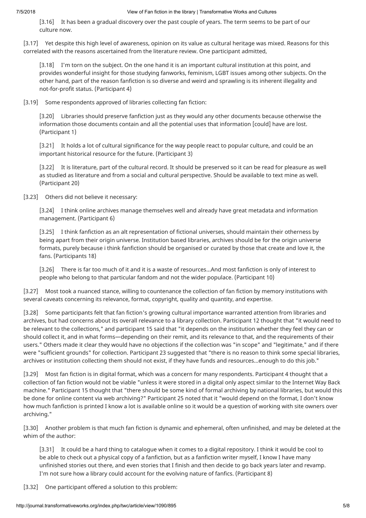[3.16] It has been a gradual discovery over the past couple of years. The term seems to be part of our culture now.

[3.17] Yet despite this high level of awareness, opinion on its value as cultural heritage was mixed. Reasons for this correlated with the reasons ascertained from the literature review. One participant admitted,

[3.18] I'm torn on the subject. On the one hand it is an important cultural institution at this point, and provides wonderful insight for those studying fanworks, feminism, LGBT issues among other subjects. On the other hand, part of the reason fanfiction is so diverse and weird and sprawling is its inherent illegality and not-for-profit status. (Participant 4)

[3.19] Some respondents approved of libraries collecting fan fiction:

[3.20] Libraries should preserve fanfiction just as they would any other documents because otherwise the information those documents contain and all the potential uses that information [could] have are lost. (Participant 1)

[3.21] It holds a lot of cultural significance for the way people react to popular culture, and could be an important historical resource for the future. (Participant 3)

[3.22] It is literature, part of the cultural record. It should be preserved so it can be read for pleasure as well as studied as literature and from a social and cultural perspective. Should be available to text mine as well. (Participant 20)

[3.23] Others did not believe it necessary:

[3.24] I think online archives manage themselves well and already have great metadata and information management. (Participant 6)

[3.25] I think fanfiction as an alt representation of fictional universes, should maintain their otherness by being apart from their origin universe. Institution based libraries, archives should be for the origin universe formats, purely because i think fanfiction should be organised or curated by those that create and love it, the fans. (Participants 18)

[3.26] There is far too much of it and it is a waste of resources…And most fanfiction is only of interest to people who belong to that particular fandom and not the wider populace. (Participant 10)

[3.27] Most took a nuanced stance, willing to countenance the collection of fan fiction by memory institutions with several caveats concerning its relevance, format, copyright, quality and quantity, and expertise.

[3.28] Some participants felt that fan fiction's growing cultural importance warranted attention from libraries and archives, but had concerns about its overall relevance to a library collection. Participant 12 thought that "it would need to be relevant to the collections," and participant 15 said that "it depends on the institution whether they feel they can or should collect it, and in what forms—depending on their remit, and its relevance to that, and the requirements of their users." Others made it clear they would have no objections if the collection was "in scope" and "legitimate," and if there were "sufficient grounds" for collection. Participant 23 suggested that "there is no reason to think some special libraries, archives or institution collecting them should not exist, if they have funds and resources…enough to do this job."

[3.29] Most fan fiction is in digital format, which was a concern for many respondents. Participant 4 thought that a collection of fan fiction would not be viable "unless it were stored in a digital only aspect similar to the Internet Way Back machine." Participant 15 thought that "there should be some kind of formal archiving by national libraries, but would this be done for online content via web archiving?" Participant 25 noted that it "would depend on the format, I don't know how much fanfiction is printed I know a lot is available online so it would be a question of working with site owners over archiving."

[3.30] Another problem is that much fan fiction is dynamic and ephemeral, often unfinished, and may be deleted at the whim of the author:

[3.31] It could be a hard thing to catalogue when it comes to a digital repository. I think it would be cool to be able to check out a physical copy of a fanfiction, but as a fanfiction writer myself, I know I have many unfinished stories out there, and even stories that I finish and then decide to go back years later and revamp. I'm not sure how a library could account for the evolving nature of fanfics. (Participant 8)

[3.32] One participant offered a solution to this problem: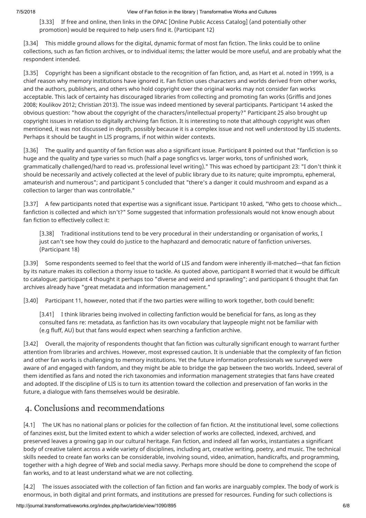[3.33] If free and online, then links in the OPAC [Online Public Access Catalog] (and potentially other promotion) would be required to help users find it. (Participant 12)

[3.34] This middle ground allows for the digital, dynamic format of most fan fiction. The links could be to online collections, such as fan fiction archives, or to individual items; the latter would be more useful, and are probably what the respondent intended.

[3.35] Copyright has been a significant obstacle to the recognition of fan fiction, and, as Hart et al. noted in 1999, is a chief reason why memory institutions have ignored it. Fan fiction uses characters and worlds derived from other works, and the authors, publishers, and others who hold copyright over the original works may not consider fan works acceptable. This lack of certainty has discouraged libraries from collecting and promoting fan works (Griffis and Jones 2008; Koulikov 2012; Christian 2013). The issue was indeed mentioned by several participants. Participant 14 asked the obvious question: "how about the copyright of the characters/intellectual property?" Participant 25 also brought up copyright issues in relation to digitally archiving fan fiction. It is interesting to note that although copyright was often mentioned, it was not discussed in depth, possibly because it is a complex issue and not well understood by LIS students. Perhaps it should be taught in LIS programs, if not within wider contexts.

[3.36] The quality and quantity of fan fiction was also a significant issue. Participant 8 pointed out that "fanfiction is so huge and the quality and type varies so much (half a page songfics vs. larger works, tons of unfinished work, grammatically challenged/hard to read vs. professional level writing)." This was echoed by participant 23: "I don't think it should be necessarily and actively collected at the level of public library due to its nature; quite impromptu, ephemeral, amateurish and numerous"; and participant 5 concluded that "there's a danger it could mushroom and expand as a collection to larger than was controllable."

[3.37] A few participants noted that expertise was a significant issue. Participant 10 asked, "Who gets to choose which... fanfiction is collected and which isn't?" Some suggested that information professionals would not know enough about fan fiction to effectively collect it:

[3.38] Traditional institutions tend to be very procedural in their understanding or organisation of works, I just can't see how they could do justice to the haphazard and democratic nature of fanfiction universes. (Participant 18)

[3.39] Some respondents seemed to feel that the world of LIS and fandom were inherently ill-matched—that fan fiction by its nature makes its collection a thorny issue to tackle. As quoted above, participant 8 worried that it would be difficult to catalogue; participant 4 thought it perhaps too "diverse and weird and sprawling"; and participant 6 thought that fan archives already have "great metadata and information management."

[3.40] Participant 11, however, noted that if the two parties were willing to work together, both could benefit:

[3.41] I think libraries being involved in collecting fanfiction would be beneficial for fans, as long as they consulted fans re: metadata, as fanfiction has its own vocabulary that laypeople might not be familiar with (e.g fluff, AU) but that fans would expect when searching a fanfiction archive.

[3.42] Overall, the majority of respondents thought that fan fiction was culturally significant enough to warrant further attention from libraries and archives. However, most expressed caution. It is undeniable that the complexity of fan fiction and other fan works is challenging to memory institutions. Yet the future information professionals we surveyed were aware of and engaged with fandom, and they might be able to bridge the gap between the two worlds. Indeed, several of them identified as fans and noted the rich taxonomies and information management strategies that fans have created and adopted. If the discipline of LIS is to turn its attention toward the collection and preservation of fan works in the future, a dialogue with fans themselves would be desirable.

## 4. Conclusions and recommendations

[4.1] The UK has no national plans or policies for the collection of fan fiction. At the institutional level, some collections of fanzines exist, but the limited extent to which a wider selection of works are collected, indexed, archived, and preserved leaves a growing gap in our cultural heritage. Fan fiction, and indeed all fan works, instantiates a significant body of creative talent across a wide variety of disciplines, including art, creative writing, poetry, and music. The technical skills needed to create fan works can be considerable, involving sound, video, animation, handicrafts, and programming, together with a high degree of Web and social media savvy. Perhaps more should be done to comprehend the scope of fan works, and to at least understand what we are not collecting.

[4.2] The issues associated with the collection of fan fiction and fan works are inarguably complex. The body of work is enormous, in both digital and print formats, and institutions are pressed for resources. Funding for such collections is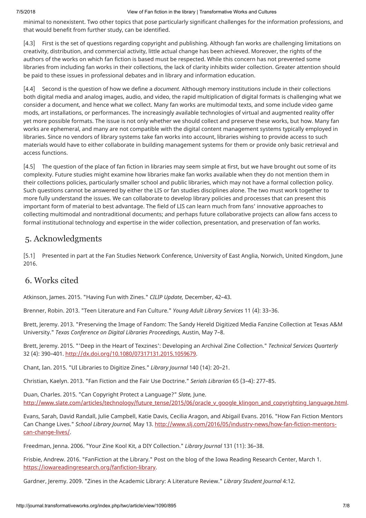minimal to nonexistent. Two other topics that pose particularly significant challenges for the information professions, and that would benefit from further study, can be identified.

[4.3] First is the set of questions regarding copyright and publishing. Although fan works are challenging limitations on creativity, distribution, and commercial activity, little actual change has been achieved. Moreover, the rights of the authors of the works on which fan fiction is based must be respected. While this concern has not prevented some libraries from including fan works in their collections, the lack of clarity inhibits wider collection. Greater attention should be paid to these issues in professional debates and in library and information education.

[4.4] Second is the question of how we define a *document.* Although memory institutions include in their collections both digital media and analog images, audio, and video, the rapid multiplication of digital formats is challenging what we consider a document, and hence what we collect. Many fan works are multimodal texts, and some include video game mods, art installations, or performances. The increasingly available technologies of virtual and augmented reality offer yet more possible formats. The issue is not only whether we should collect and preserve these works, but how. Many fan works are ephemeral, and many are not compatible with the digital content management systems typically employed in libraries. Since no vendors of library systems take fan works into account, libraries wishing to provide access to such materials would have to either collaborate in building management systems for them or provide only basic retrieval and access functions.

[4.5] The question of the place of fan fiction in libraries may seem simple at first, but we have brought out some of its complexity. Future studies might examine how libraries make fan works available when they do not mention them in their collections policies, particularly smaller school and public libraries, which may not have a formal collection policy. Such questions cannot be answered by either the LIS or fan studies disciplines alone. The two must work together to more fully understand the issues. We can collaborate to develop library policies and processes that can present this important form of material to best advantage. The field of LIS can learn much from fans' innovative approaches to collecting multimodal and nontraditional documents; and perhaps future collaborative projects can allow fans access to formal institutional technology and expertise in the wider collection, presentation, and preservation of fan works.

### 5. Acknowledgments

[5.1] Presented in part at the Fan Studies Network Conference, University of East Anglia, Norwich, United Kingdom, June 2016.

### 6. Works cited

Atkinson, James. 2015. "Having Fun with Zines." *CILIP Update,* December, 42–43.

Brenner, Robin. 2013. "Teen Literature and Fan Culture." *Young Adult Library Services* 11 (4): 33–36.

Brett, Jeremy. 2013. "Preserving the Image of Fandom: The Sandy Hereld Digitized Media Fanzine Collection at Texas A&M University." *Texas Conference on Digital Libraries Proceedings,* Austin, May 7–8.

Brett, Jeremy. 2015. "'Deep in the Heart of Texzines': Developing an Archival Zine Collection." *Technical Services Quarterly* 32 (4): 390–401. [http://dx.doi.org/10.1080/07317131.2015.1059679.](http://dx.doi.org/10.1080/07317131.2015.1059679)

Chant, Ian. 2015. "UI Libraries to Digitize Zines." *Library Journal* 140 (14): 20–21.

Christian, Kaelyn. 2013. "Fan Fiction and the Fair Use Doctrine." *Serials Librarian* 65 (3–4): 277–85.

Duan, Charles. 2015. "Can Copyright Protect a Language?" *Slate,* June. [http://www.slate.com/articles/technology/future\\_tense/2015/06/oracle\\_v\\_google\\_klingon\\_and\\_copyrighting\\_language.html](http://www.slate.com/articles/technology/future_tense/2015/06/oracle_v_google_klingon_and_copyrighting_language.html).

Evans, Sarah, David Randall, Julie Campbell, Katie Davis, Cecilia Aragon, and Abigail Evans. 2016. "How Fan Fiction Mentors Can Change Lives." *School Library Journal,* [May 13. http://www.slj.com/2016/05/industry-news/how-fan-fiction-mentors](http://www.slj.com/2016/05/industry-news/how-fan-fiction-mentors-can-change-lives/)can-change-lives/.

Freedman, Jenna. 2006. "Your Zine Kool Kit, a DIY Collection." *Library Journal* 131 (11): 36–38.

Frisbie, Andrew. 2016. "FanFiction at the Library." Post on the blog of the Iowa Reading Research Center, March 1. <https://iowareadingresearch.org/fanfiction-library>.

Gardner, Jeremy. 2009. "Zines in the Academic Library: A Literature Review." *Library Student Journal* 4:12.